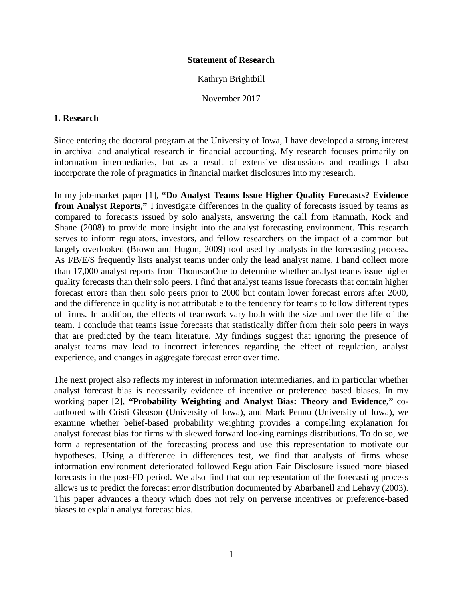## **Statement of Research**

Kathryn Brightbill

November 2017

## **1. Research**

Since entering the doctoral program at the University of Iowa, I have developed a strong interest in archival and analytical research in financial accounting. My research focuses primarily on information intermediaries, but as a result of extensive discussions and readings I also incorporate the role of pragmatics in financial market disclosures into my research.

In my job-market paper [1], **"Do Analyst Teams Issue Higher Quality Forecasts? Evidence from Analyst Reports,"** I investigate differences in the quality of forecasts issued by teams as compared to forecasts issued by solo analysts, answering the call from Ramnath, Rock and Shane (2008) to provide more insight into the analyst forecasting environment. This research serves to inform regulators, investors, and fellow researchers on the impact of a common but largely overlooked (Brown and Hugon, 2009) tool used by analysts in the forecasting process. As I/B/E/S frequently lists analyst teams under only the lead analyst name, I hand collect more than 17,000 analyst reports from ThomsonOne to determine whether analyst teams issue higher quality forecasts than their solo peers. I find that analyst teams issue forecasts that contain higher forecast errors than their solo peers prior to 2000 but contain lower forecast errors after 2000, and the difference in quality is not attributable to the tendency for teams to follow different types of firms. In addition, the effects of teamwork vary both with the size and over the life of the team. I conclude that teams issue forecasts that statistically differ from their solo peers in ways that are predicted by the team literature. My findings suggest that ignoring the presence of analyst teams may lead to incorrect inferences regarding the effect of regulation, analyst experience, and changes in aggregate forecast error over time.

The next project also reflects my interest in information intermediaries, and in particular whether analyst forecast bias is necessarily evidence of incentive or preference based biases. In my working paper [2], **"Probability Weighting and Analyst Bias: Theory and Evidence,"** coauthored with Cristi Gleason (University of Iowa), and Mark Penno (University of Iowa), we examine whether belief-based probability weighting provides a compelling explanation for analyst forecast bias for firms with skewed forward looking earnings distributions. To do so, we form a representation of the forecasting process and use this representation to motivate our hypotheses. Using a difference in differences test, we find that analysts of firms whose information environment deteriorated followed Regulation Fair Disclosure issued more biased forecasts in the post-FD period. We also find that our representation of the forecasting process allows us to predict the forecast error distribution documented by Abarbanell and Lehavy (2003). This paper advances a theory which does not rely on perverse incentives or preference-based biases to explain analyst forecast bias.